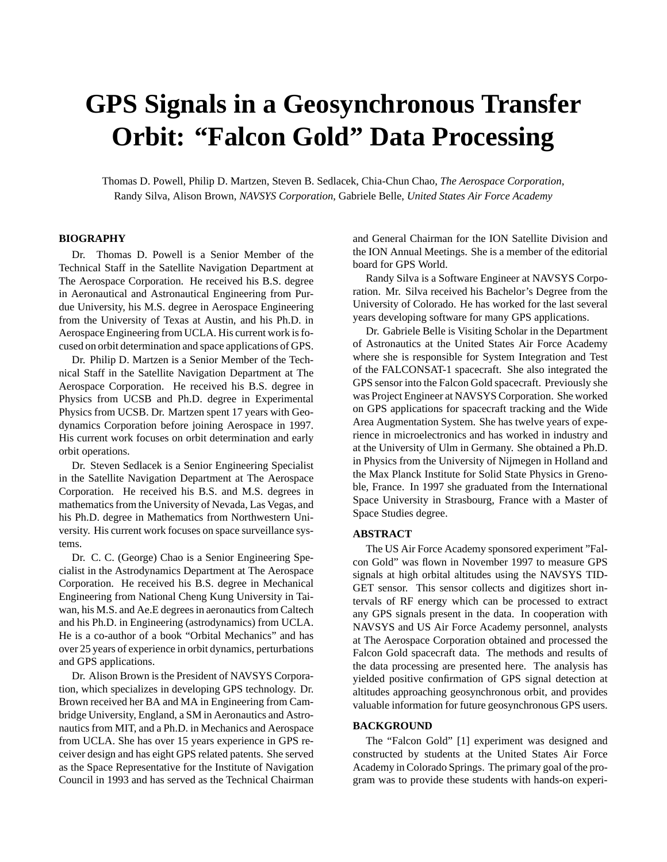# **GPS Signals in a Geosynchronous Transfer Orbit: "Falcon Gold" Data Processing**

Thomas D. Powell, Philip D. Martzen, Steven B. Sedlacek, Chia-Chun Chao, *The Aerospace Corporation*, Randy Silva, Alison Brown, *NAVSYS Corporation*, Gabriele Belle, *United States Air Force Academy*

# **BIOGRAPHY**

Dr. Thomas D. Powell is a Senior Member of the Technical Staff in the Satellite Navigation Department at The Aerospace Corporation. He received his B.S. degree in Aeronautical and Astronautical Engineering from Purdue University, his M.S. degree in Aerospace Engineering from the University of Texas at Austin, and his Ph.D. in Aerospace Engineering from UCLA. His current work is focused on orbit determination and space applications of GPS.

Dr. Philip D. Martzen is a Senior Member of the Technical Staff in the Satellite Navigation Department at The Aerospace Corporation. He received his B.S. degree in Physics from UCSB and Ph.D. degree in Experimental Physics from UCSB. Dr. Martzen spent 17 years with Geodynamics Corporation before joining Aerospace in 1997. His current work focuses on orbit determination and early orbit operations.

Dr. Steven Sedlacek is a Senior Engineering Specialist in the Satellite Navigation Department at The Aerospace Corporation. He received his B.S. and M.S. degrees in mathematics from the University of Nevada, Las Vegas, and his Ph.D. degree in Mathematics from Northwestern University. His current work focuses on space surveillance systems.

Dr. C. C. (George) Chao is a Senior Engineering Specialist in the Astrodynamics Department at The Aerospace Corporation. He received his B.S. degree in Mechanical Engineering from National Cheng Kung University in Taiwan, his M.S. and Ae.E degrees in aeronautics from Caltech and his Ph.D. in Engineering (astrodynamics) from UCLA. He is a co-author of a book "Orbital Mechanics" and has over 25 years of experience in orbit dynamics, perturbations and GPS applications.

Dr. Alison Brown is the President of NAVSYS Corporation, which specializes in developing GPS technology. Dr. Brown received her BA and MA in Engineering from Cambridge University, England, a SM in Aeronautics and Astronautics from MIT, and a Ph.D. in Mechanics and Aerospace from UCLA. She has over 15 years experience in GPS receiver design and has eight GPS related patents. She served as the Space Representative for the Institute of Navigation Council in 1993 and has served as the Technical Chairman and General Chairman for the ION Satellite Division and the ION Annual Meetings. She is a member of the editorial board for GPS World.

Randy Silva is a Software Engineer at NAVSYS Corporation. Mr. Silva received his Bachelor's Degree from the University of Colorado. He has worked for the last several years developing software for many GPS applications.

Dr. Gabriele Belle is Visiting Scholar in the Department of Astronautics at the United States Air Force Academy where she is responsible for System Integration and Test of the FALCONSAT-1 spacecraft. She also integrated the GPS sensor into the Falcon Gold spacecraft. Previously she was Project Engineer at NAVSYS Corporation. She worked on GPS applications for spacecraft tracking and the Wide Area Augmentation System. She has twelve years of experience in microelectronics and has worked in industry and at the University of Ulm in Germany. She obtained a Ph.D. in Physics from the University of Nijmegen in Holland and the Max Planck Institute for Solid State Physics in Grenoble, France. In 1997 she graduated from the International Space University in Strasbourg, France with a Master of Space Studies degree.

#### **ABSTRACT**

The US Air Force Academy sponsored experiment "Falcon Gold" was flown in November 1997 to measure GPS signals at high orbital altitudes using the NAVSYS TID-GET sensor. This sensor collects and digitizes short intervals of RF energy which can be processed to extract any GPS signals present in the data. In cooperation with NAVSYS and US Air Force Academy personnel, analysts at The Aerospace Corporation obtained and processed the Falcon Gold spacecraft data. The methods and results of the data processing are presented here. The analysis has yielded positive confirmation of GPS signal detection at altitudes approaching geosynchronous orbit, and provides valuable information for future geosynchronous GPS users.

#### **BACKGROUND**

The "Falcon Gold" [1] experiment was designed and constructed by students at the United States Air Force Academy in Colorado Springs. The primary goal of the program was to provide these students with hands-on experi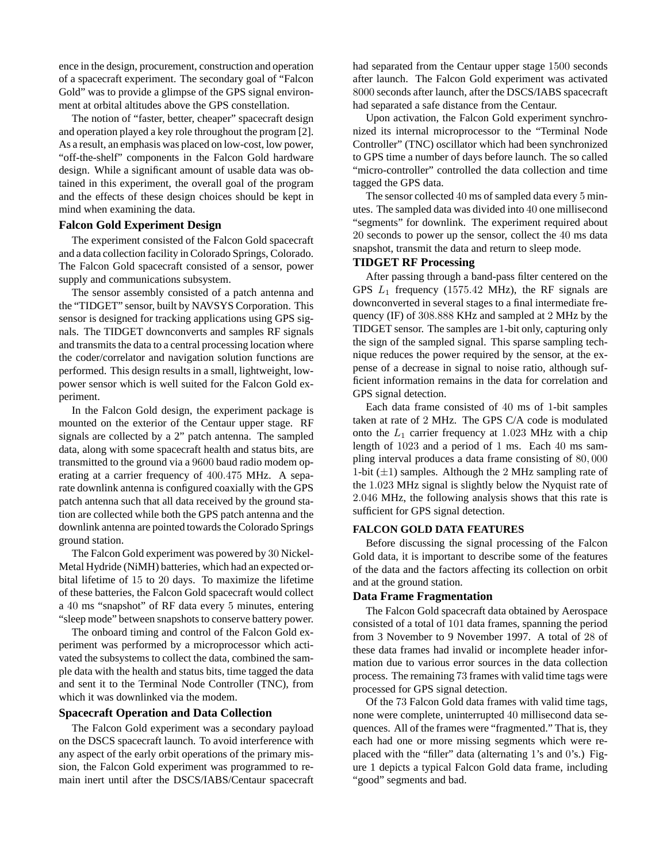ence in the design, procurement, construction and operation of a spacecraft experiment. The secondary goal of "Falcon Gold" was to provide a glimpse of the GPS signal environment at orbital altitudes above the GPS constellation.

The notion of "faster, better, cheaper" spacecraft design and operation played a key role throughout the program [2]. As a result, an emphasis was placed on low-cost, low power, "off-the-shelf" components in the Falcon Gold hardware design. While a significant amount of usable data was obtained in this experiment, the overall goal of the program and the effects of these design choices should be kept in mind when examining the data.

#### **Falcon Gold Experiment Design**

The experiment consisted of the Falcon Gold spacecraft and a data collection facility in Colorado Springs, Colorado. The Falcon Gold spacecraft consisted of a sensor, power supply and communications subsystem.

The sensor assembly consisted of a patch antenna and the "TIDGET" sensor, built by NAVSYS Corporation. This sensor is designed for tracking applications using GPS signals. The TIDGET downconverts and samples RF signals and transmits the data to a central processing location where the coder/correlator and navigation solution functions are performed. This design results in a small, lightweight, lowpower sensor which is well suited for the Falcon Gold experiment.

In the Falcon Gold design, the experiment package is mounted on the exterior of the Centaur upper stage. RF signals are collected by a 2" patch antenna. The sampled data, along with some spacecraft health and status bits, are transmitted to the ground via a 9600 baud radio modem operating at a carrier frequency of 400*.*475 MHz. A separate downlink antenna is configured coaxially with the GPS patch antenna such that all data received by the ground station are collected while both the GPS patch antenna and the downlink antenna are pointed towards the Colorado Springs ground station.

The Falcon Gold experiment was powered by 30 Nickel-Metal Hydride (NiMH) batteries, which had an expected orbital lifetime of 15 to 20 days. To maximize the lifetime of these batteries, the Falcon Gold spacecraft would collect a 40 ms "snapshot" of RF data every 5 minutes, entering "sleep mode" between snapshots to conserve battery power.

The onboard timing and control of the Falcon Gold experiment was performed by a microprocessor which activated the subsystems to collect the data, combined the sample data with the health and status bits, time tagged the data and sent it to the Terminal Node Controller (TNC), from which it was downlinked via the modem.

# **Spacecraft Operation and Data Collection**

The Falcon Gold experiment was a secondary payload on the DSCS spacecraft launch. To avoid interference with any aspect of the early orbit operations of the primary mission, the Falcon Gold experiment was programmed to remain inert until after the DSCS/IABS/Centaur spacecraft had separated from the Centaur upper stage 1500 seconds after launch. The Falcon Gold experiment was activated 8000 seconds after launch, after the DSCS/IABS spacecraft had separated a safe distance from the Centaur.

Upon activation, the Falcon Gold experiment synchronized its internal microprocessor to the "Terminal Node Controller" (TNC) oscillator which had been synchronized to GPS time a number of days before launch. The so called "micro-controller" controlled the data collection and time tagged the GPS data.

The sensor collected 40 ms of sampled data every 5 minutes. The sampled data was divided into 40 one millisecond "segments" for downlink. The experiment required about 20 seconds to power up the sensor, collect the 40 ms data snapshot, transmit the data and return to sleep mode.

# **TIDGET RF Processing**

After passing through a band-pass filter centered on the GPS *L*<sup>1</sup> frequency (1575*.*42 MHz), the RF signals are downconverted in several stages to a final intermediate frequency (IF) of 308*.*888 KHz and sampled at 2 MHz by the TIDGET sensor. The samples are 1-bit only, capturing only the sign of the sampled signal. This sparse sampling technique reduces the power required by the sensor, at the expense of a decrease in signal to noise ratio, although sufficient information remains in the data for correlation and GPS signal detection.

Each data frame consisted of 40 ms of 1-bit samples taken at rate of 2 MHz. The GPS C/A code is modulated onto the  $L_1$  carrier frequency at 1.023 MHz with a chip length of 1023 and a period of 1 ms. Each 40 ms sampling interval produces a data frame consisting of 80*,* 000 1-bit  $(\pm 1)$  samples. Although the 2 MHz sampling rate of the 1*.*023 MHz signal is slightly below the Nyquist rate of 2*.*046 MHz, the following analysis shows that this rate is sufficient for GPS signal detection.

#### **FALCON GOLD DATA FEATURES**

Before discussing the signal processing of the Falcon Gold data, it is important to describe some of the features of the data and the factors affecting its collection on orbit and at the ground station.

#### **Data Frame Fragmentation**

The Falcon Gold spacecraft data obtained by Aerospace consisted of a total of 101 data frames, spanning the period from 3 November to 9 November 1997. A total of 28 of these data frames had invalid or incomplete header information due to various error sources in the data collection process. The remaining 73 frames with valid time tags were processed for GPS signal detection.

Of the 73 Falcon Gold data frames with valid time tags, none were complete, uninterrupted 40 millisecond data sequences. All of the frames were "fragmented." That is, they each had one or more missing segments which were replaced with the "filler" data (alternating 1's and 0's.) Figure 1 depicts a typical Falcon Gold data frame, including "good" segments and bad.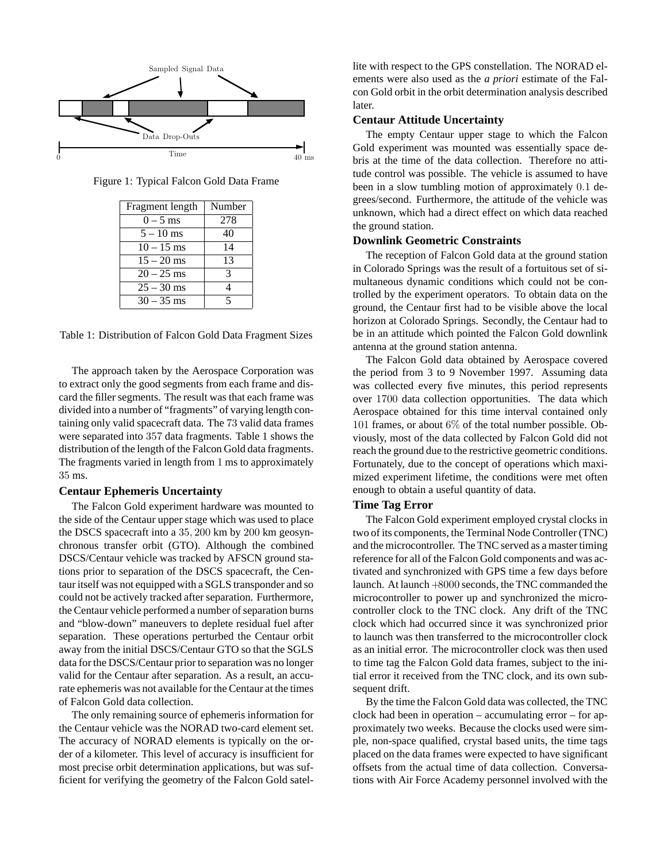

Figure 1: Typical Falcon Gold Data Frame

| Fragment length | Number |
|-----------------|--------|
| $0 - 5$ ms      | 278    |
| $5 - 10$ ms     | 40     |
| $10 - 15$ ms    | 14     |
| $15 - 20$ ms    | 13     |
| $20 - 25$ ms    | 3      |
| $25 - 30$ ms    |        |
| $30 - 35$ ms    |        |

Table 1: Distribution of Falcon Gold Data Fragment Sizes

The approach taken by the Aerospace Corporation was to extract only the good segments from each frame and discard the filler segments. The result was that each frame was divided into a number of "fragments" of varying length containing only valid spacecraft data. The 73 valid data frames were separated into 357 data fragments. Table 1 shows the distribution of the length of the Falcon Gold data fragments. The fragments varied in length from 1 ms to approximately 35 ms.

#### **Centaur Ephemeris Uncertainty**

The Falcon Gold experiment hardware was mounted to the side of the Centaur upper stage which was used to place the DSCS spacecraft into a 35*,* 200 km by 200 km geosynchronous transfer orbit (GTO). Although the combined DSCS/Centaur vehicle was tracked by AFSCN ground stations prior to separation of the DSCS spacecraft, the Centaur itself was not equipped with a SGLS transponder and so could not be actively tracked after separation. Furthermore, the Centaur vehicle performed a number of separation burns and "blow-down" maneuvers to deplete residual fuel after separation. These operations perturbed the Centaur orbit away from the initial DSCS/Centaur GTO so that the SGLS data for the DSCS/Centaur prior to separation was no longer valid for the Centaur after separation. As a result, an accurate ephemeris was not available for the Centaur at the times of Falcon Gold data collection.

The only remaining source of ephemeris information for the Centaur vehicle was the NORAD two-card element set. The accuracy of NORAD elements is typically on the order of a kilometer. This level of accuracy is insufficient for most precise orbit determination applications, but was sufficient for verifying the geometry of the Falcon Gold satel-

lite with respect to the GPS constellation. The NORAD elements were also used as the *a priori* estimate of the Falcon Gold orbit in the orbit determination analysis described later.

#### **Centaur Attitude Uncertainty**

The empty Centaur upper stage to which the Falcon Gold experiment was mounted was essentially space debris at the time of the data collection. Therefore no attitude control was possible. The vehicle is assumed to have been in a slow tumbling motion of approximately 0*.*1 degrees/second. Furthermore, the attitude of the vehicle was unknown, which had a direct effect on which data reached the ground station.

#### **Downlink Geometric Constraints**

The reception of Falcon Gold data at the ground station in Colorado Springs was the result of a fortuitous set of simultaneous dynamic conditions which could not be controlled by the experiment operators. To obtain data on the ground, the Centaur first had to be visible above the local horizon at Colorado Springs. Secondly, the Centaur had to be in an attitude which pointed the Falcon Gold downlink antenna at the ground station antenna.

The Falcon Gold data obtained by Aerospace covered the period from 3 to 9 November 1997. Assuming data was collected every five minutes, this period represents over 1700 data collection opportunities. The data which Aerospace obtained for this time interval contained only 101 frames, or about 6% of the total number possible. Obviously, most of the data collected by Falcon Gold did not reach the ground due to the restrictive geometric conditions. Fortunately, due to the concept of operations which maximized experiment lifetime, the conditions were met often enough to obtain a useful quantity of data.

# **Time Tag Error**

The Falcon Gold experiment employed crystal clocks in two of its components, the Terminal Node Controller (TNC) and the microcontroller. The TNC served as a master timing reference for all of the Falcon Gold components and was activated and synchronized with GPS time a few days before launch. At launch +8000 seconds, the TNC commanded the microcontroller to power up and synchronized the microcontroller clock to the TNC clock. Any drift of the TNC clock which had occurred since it was synchronized prior to launch was then transferred to the microcontroller clock as an initial error. The microcontroller clock was then used to time tag the Falcon Gold data frames, subject to the initial error it received from the TNC clock, and its own subsequent drift.

By the time the Falcon Gold data was collected, the TNC clock had been in operation – accumulating error – for approximately two weeks. Because the clocks used were simple, non-space qualified, crystal based units, the time tags placed on the data frames were expected to have significant offsets from the actual time of data collection. Conversations with Air Force Academy personnel involved with the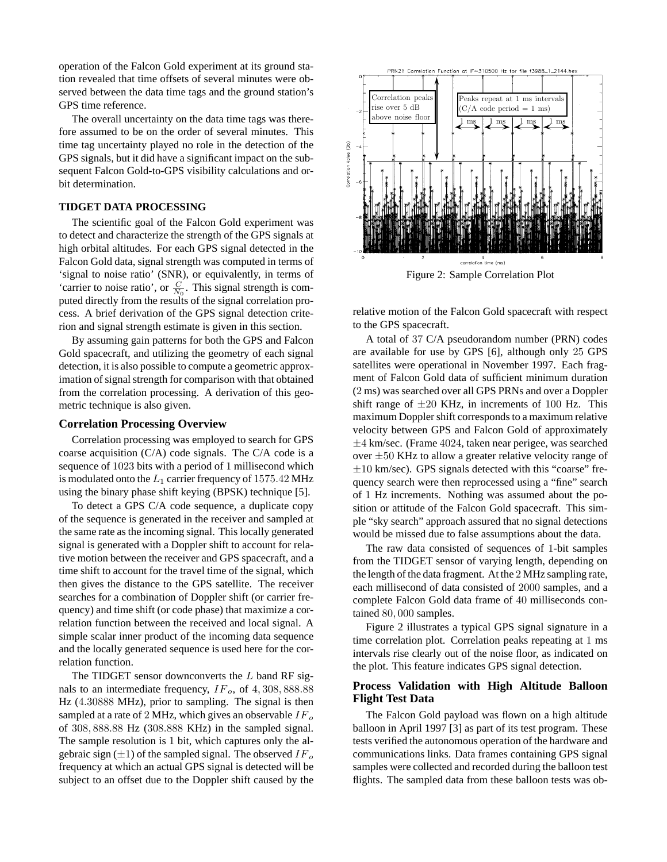operation of the Falcon Gold experiment at its ground station revealed that time offsets of several minutes were observed between the data time tags and the ground station's GPS time reference.

The overall uncertainty on the data time tags was therefore assumed to be on the order of several minutes. This time tag uncertainty played no role in the detection of the GPS signals, but it did have a significant impact on the subsequent Falcon Gold-to-GPS visibility calculations and orbit determination.

# **TIDGET DATA PROCESSING**

The scientific goal of the Falcon Gold experiment was to detect and characterize the strength of the GPS signals at high orbital altitudes. For each GPS signal detected in the Falcon Gold data, signal strength was computed in terms of 'signal to noise ratio' (SNR), or equivalently, in terms of 'carrier to noise ratio', or  $\frac{C}{N_0}$ . This signal strength is computed directly from the results of the signal correlation process. A brief derivation of the GPS signal detection criterion and signal strength estimate is given in this section.

By assuming gain patterns for both the GPS and Falcon Gold spacecraft, and utilizing the geometry of each signal detection, it is also possible to compute a geometric approximation of signal strength for comparison with that obtained from the correlation processing. A derivation of this geometric technique is also given.

#### **Correlation Processing Overview**

Correlation processing was employed to search for GPS coarse acquisition (C/A) code signals. The C/A code is a sequence of 1023 bits with a period of 1 millisecond which is modulated onto the *L*<sup>1</sup> carrier frequency of 1575*.*42 MHz using the binary phase shift keying (BPSK) technique [5].

To detect a GPS C/A code sequence, a duplicate copy of the sequence is generated in the receiver and sampled at the same rate as the incoming signal. This locally generated signal is generated with a Doppler shift to account for relative motion between the receiver and GPS spacecraft, and a time shift to account for the travel time of the signal, which then gives the distance to the GPS satellite. The receiver searches for a combination of Doppler shift (or carrier frequency) and time shift (or code phase) that maximize a correlation function between the received and local signal. A simple scalar inner product of the incoming data sequence and the locally generated sequence is used here for the correlation function.

The TIDGET sensor downconverts the *L* band RF signals to an intermediate frequency, *IFo*, of 4*,* 308*,* 888*.*88 Hz (4*.*30888 MHz), prior to sampling. The signal is then sampled at a rate of 2 MHz, which gives an observable *IF<sup>o</sup>* of 308*,* 888*.*88 Hz (308*.*888 KHz) in the sampled signal. The sample resolution is 1 bit, which captures only the algebraic sign (±1) of the sampled signal. The observed *IF<sup>o</sup>* frequency at which an actual GPS signal is detected will be subject to an offset due to the Doppler shift caused by the



Figure 2: Sample Correlation Plot

relative motion of the Falcon Gold spacecraft with respect to the GPS spacecraft.

A total of 37 C/A pseudorandom number (PRN) codes are available for use by GPS [6], although only 25 GPS satellites were operational in November 1997. Each fragment of Falcon Gold data of sufficient minimum duration (2 ms) was searched over all GPS PRNs and over a Doppler shift range of  $\pm 20$  KHz, in increments of 100 Hz. This maximum Doppler shift corresponds to a maximum relative velocity between GPS and Falcon Gold of approximately  $\pm$ 4 km/sec. (Frame 4024, taken near perigee, was searched over  $\pm 50$  KHz to allow a greater relative velocity range of  $\pm 10$  km/sec). GPS signals detected with this "coarse" frequency search were then reprocessed using a "fine" search of 1 Hz increments. Nothing was assumed about the position or attitude of the Falcon Gold spacecraft. This simple "sky search" approach assured that no signal detections would be missed due to false assumptions about the data.

The raw data consisted of sequences of 1-bit samples from the TIDGET sensor of varying length, depending on the length of the data fragment. At the 2 MHz sampling rate, each millisecond of data consisted of 2000 samples, and a complete Falcon Gold data frame of 40 milliseconds contained 80*,* 000 samples.

Figure 2 illustrates a typical GPS signal signature in a time correlation plot. Correlation peaks repeating at 1 ms intervals rise clearly out of the noise floor, as indicated on the plot. This feature indicates GPS signal detection.

#### **Process Validation with High Altitude Balloon Flight Test Data**

The Falcon Gold payload was flown on a high altitude balloon in April 1997 [3] as part of its test program. These tests verified the autonomous operation of the hardware and communications links. Data frames containing GPS signal samples were collected and recorded during the balloon test flights. The sampled data from these balloon tests was ob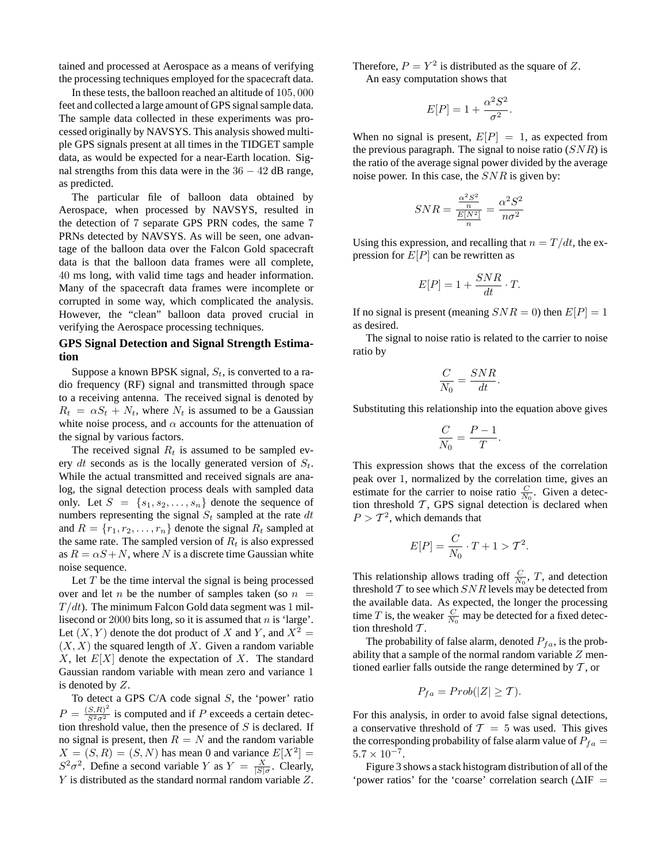tained and processed at Aerospace as a means of verifying the processing techniques employed for the spacecraft data.

In these tests, the balloon reached an altitude of 105*,* 000 feet and collected a large amount of GPS signal sample data. The sample data collected in these experiments was processed originally by NAVSYS. This analysis showed multiple GPS signals present at all times in the TIDGET sample data, as would be expected for a near-Earth location. Signal strengths from this data were in the 36 − 42 dB range, as predicted.

The particular file of balloon data obtained by Aerospace, when processed by NAVSYS, resulted in the detection of 7 separate GPS PRN codes, the same 7 PRNs detected by NAVSYS. As will be seen, one advantage of the balloon data over the Falcon Gold spacecraft data is that the balloon data frames were all complete, 40 ms long, with valid time tags and header information. Many of the spacecraft data frames were incomplete or corrupted in some way, which complicated the analysis. However, the "clean" balloon data proved crucial in verifying the Aerospace processing techniques.

# **GPS Signal Detection and Signal Strength Estimation**

Suppose a known BPSK signal, *St*, is converted to a radio frequency (RF) signal and transmitted through space to a receiving antenna. The received signal is denoted by  $R_t = \alpha S_t + N_t$ , where  $N_t$  is assumed to be a Gaussian white noise process, and  $\alpha$  accounts for the attenuation of the signal by various factors.

The received signal  $R_t$  is assumed to be sampled every *dt* seconds as is the locally generated version of *St*. While the actual transmitted and received signals are analog, the signal detection process deals with sampled data only. Let  $S = \{s_1, s_2, \ldots, s_n\}$  denote the sequence of numbers representing the signal *S<sup>t</sup>* sampled at the rate *dt* and  $R = \{r_1, r_2, \ldots, r_n\}$  denote the signal  $R_t$  sampled at the same rate. The sampled version of  $R_t$  is also expressed as  $R = \alpha S + N$ , where N is a discrete time Gaussian white noise sequence.

Let *T* be the time interval the signal is being processed over and let *n* be the number of samples taken (so  $n =$  $T/dt$ ). The minimum Falcon Gold data segment was 1 millisecond or 2000 bits long, so it is assumed that *n* is 'large'. Let  $(X, Y)$  denote the dot product of *X* and *Y*, and  $X^2 =$  $(X, X)$  the squared length of X. Given a random variable *X*, let *E*[*X*] denote the expectation of *X*. The standard Gaussian random variable with mean zero and variance 1 is denoted by *Z*.

To detect a GPS C/A code signal *S*, the 'power' ratio  $P = \frac{(S,R)^2}{S^2 \sigma^2}$  is computed and if *P* exceeds a certain detection threshold value, then the presence of *S* is declared. If no signal is present, then  $R = N$  and the random variable  $X = (S, R) = (S, N)$  has mean 0 and variance  $E[X^2] =$  $S^2 \sigma^2$ . Define a second variable *Y* as  $Y = \frac{X}{|S|\sigma}$ . Clearly, *Y* is distributed as the standard normal random variable *Z*. Therefore,  $P = Y^2$  is distributed as the square of Z.

An easy computation shows that

$$
E[P] = 1 + \frac{\alpha^2 S^2}{\sigma^2}.
$$

When no signal is present,  $E[P]=1$ , as expected from the previous paragraph. The signal to noise ratio (*SNR*) is the ratio of the average signal power divided by the average noise power. In this case, the *SNR* is given by:

$$
SNR = \frac{\frac{\alpha^2 S^2}{n}}{\frac{E[N^2]}{n}} = \frac{\alpha^2 S^2}{n\sigma^2}
$$

Using this expression, and recalling that  $n = T/dt$ , the expression for *E*[*P*] can be rewritten as

$$
E[P] = 1 + \frac{SNR}{dt} \cdot T.
$$

If no signal is present (meaning  $SNR = 0$ ) then  $E[P] = 1$ as desired.

The signal to noise ratio is related to the carrier to noise ratio by

$$
\frac{C}{N_0} = \frac{SNR}{dt}.
$$

Substituting this relationship into the equation above gives

$$
\frac{C}{N_0} = \frac{P-1}{T}.
$$

This expression shows that the excess of the correlation peak over 1, normalized by the correlation time, gives an estimate for the carrier to noise ratio  $\frac{C}{N_0}$ . Given a detection threshold  $T$ , GPS signal detection is declared when  $P > T<sup>2</sup>$ , which demands that

$$
E[P] = \frac{C}{N_0} \cdot T + 1 > T^2.
$$

This relationship allows trading off  $\frac{C}{N_0}$ , *T*, and detection threshold  $T$  to see which  $SNR$  levels may be detected from the available data. As expected, the longer the processing time *T* is, the weaker  $\frac{C}{N_0}$  may be detected for a fixed detection threshold  $T$ .

The probability of false alarm, denoted  $P_{fa}$ , is the probability that a sample of the normal random variable *Z* mentioned earlier falls outside the range determined by  $T$ , or

$$
P_{fa} = Prob(|Z| \ge T).
$$

For this analysis, in order to avoid false signal detections, a conservative threshold of  $T = 5$  was used. This gives the corresponding probability of false alarm value of  $P_{fa} =$  $5.7 \times 10^{-7}$ .

Figure 3 shows a stack histogram distribution of all of the 'power ratios' for the 'coarse' correlation search (∆IF =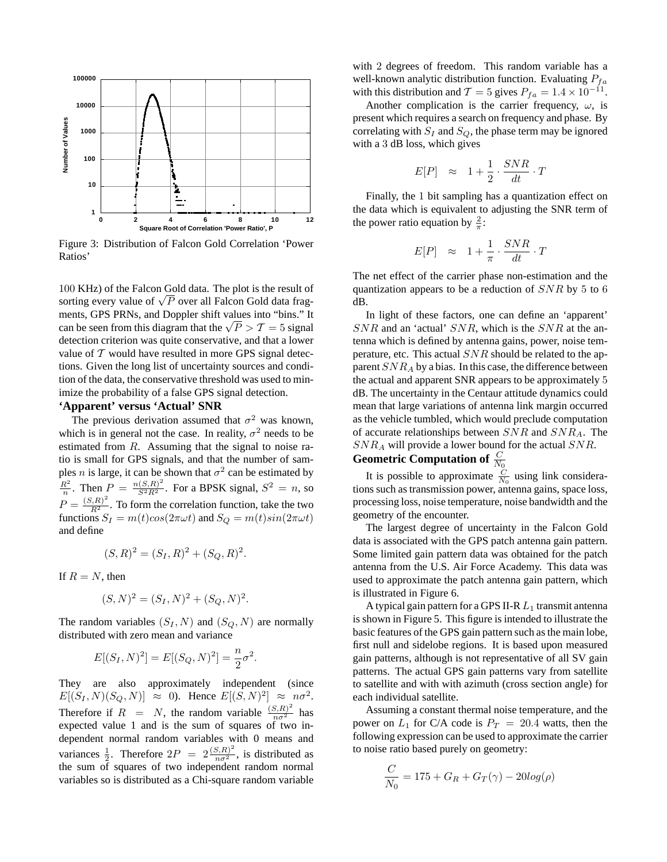

Figure 3: Distribution of Falcon Gold Correlation 'Power Ratios'

100 KHz) of the Falcon Gold data. The plot is the result of  $100$  KHz) of the Falcon Gold data. The plot is the result of  $\sqrt{P}$  over all Falcon Gold data fragments, GPS PRNs, and Doppler shift values into "bins." It ments, GPS PRINS, and Doppler smit values into only the can be seen from this diagram that the  $\sqrt{P} > T = 5$  signal detection criterion was quite conservative, and that a lower value of  $T$  would have resulted in more GPS signal detections. Given the long list of uncertainty sources and condition of the data, the conservative threshold was used to minimize the probability of a false GPS signal detection.

# **'Apparent' versus 'Actual' SNR**

The previous derivation assumed that  $\sigma^2$  was known, which is in general not the case. In reality,  $\sigma^2$  needs to be estimated from *R*. Assuming that the signal to noise ratio is small for GPS signals, and that the number of samples *n* is large, it can be shown that  $\sigma^2$  can be estimated by  $\frac{R^2}{n}$ . Then  $P = \frac{n(S,R)^2}{S^2 R^2}$ . For a BPSK signal,  $S^2 = n$ , so  $P = \frac{(S,R)^2}{R^2}$ . To form the correlation function, take the two functions  $S_I = m(t)\cos(2\pi\omega t)$  and  $S_Q = m(t)\sin(2\pi\omega t)$ and define

$$
(S,R)^2 = (S_I,R)^2 + (S_Q,R)^2.
$$

If  $R = N$ , then

$$
(S, N)^2 = (S_I, N)^2 + (S_Q, N)^2.
$$

The random variables  $(S_I, N)$  and  $(S_Q, N)$  are normally distributed with zero mean and variance

$$
E[(S_I, N)^2] = E[(S_Q, N)^2] = \frac{n}{2}\sigma^2.
$$

They are also approximately independent (since  $E[(S_I, N)(S_Q, N)] \approx 0$ . Hence  $E[(S, N)^2] \approx n\sigma^2$ . Therefore if  $R = N$ , the random variable  $\frac{(S,R)^2}{n\sigma^2}$  has expected value 1 and is the sum of squares of two independent normal random variables with 0 means and variances  $\frac{1}{2}$ . Therefore  $2P = 2\frac{(S,R)^2}{n\sigma^2}$ , is distributed as the sum of squares of two independent random normal variables so is distributed as a Chi-square random variable

with 2 degrees of freedom. This random variable has a well-known analytic distribution function. Evaluating *Pfa* with this distribution and  $T = 5$  gives  $P_{fa} = 1.4 \times 10^{-11}$ .

Another complication is the carrier frequency,  $\omega$ , is present which requires a search on frequency and phase. By correlating with  $S_I$  and  $S_Q$ , the phase term may be ignored with a 3 dB loss, which gives

$$
E[P] \approx 1 + \frac{1}{2} \cdot \frac{SNR}{dt} \cdot T
$$

Finally, the 1 bit sampling has a quantization effect on the data which is equivalent to adjusting the SNR term of the power ratio equation by  $\frac{2}{\pi}$ :

$$
E[P] \approx 1 + \frac{1}{\pi} \cdot \frac{SNR}{dt} \cdot T
$$

The net effect of the carrier phase non-estimation and the quantization appears to be a reduction of *SNR* by 5 to 6 dB.

In light of these factors, one can define an 'apparent' *SNR* and an 'actual' *SNR*, which is the *SNR* at the antenna which is defined by antenna gains, power, noise temperature, etc. This actual *SNR* should be related to the apparent *SNR<sup>A</sup>* by a bias. In this case, the difference between the actual and apparent SNR appears to be approximately 5 dB. The uncertainty in the Centaur attitude dynamics could mean that large variations of antenna link margin occurred as the vehicle tumbled, which would preclude computation of accurate relationships between *SNR* and *SNRA*. The *SNR<sup>A</sup>* will provide a lower bound for the actual *SNR*.

# **Geometric Computation of**  $\frac{C}{N_0}$

It is possible to approximate  $\frac{C}{N_0}$  using link considerations such as transmission power, antenna gains, space loss, processing loss, noise temperature, noise bandwidth and the geometry of the encounter.

The largest degree of uncertainty in the Falcon Gold data is associated with the GPS patch antenna gain pattern. Some limited gain pattern data was obtained for the patch antenna from the U.S. Air Force Academy. This data was used to approximate the patch antenna gain pattern, which is illustrated in Figure 6.

A typical gain pattern for a GPS II-R*L*<sup>1</sup> transmit antenna is shown in Figure 5. This figure is intended to illustrate the basic features of the GPS gain pattern such as the main lobe, first null and sidelobe regions. It is based upon measured gain patterns, although is not representative of all SV gain patterns. The actual GPS gain patterns vary from satellite to satellite and with with azimuth (cross section angle) for each individual satellite.

Assuming a constant thermal noise temperature, and the power on  $L_1$  for C/A code is  $P_T = 20.4$  watts, then the following expression can be used to approximate the carrier to noise ratio based purely on geometry:

$$
\frac{C}{N_0} = 175 + G_R + G_T(\gamma) - 20\log(\rho)
$$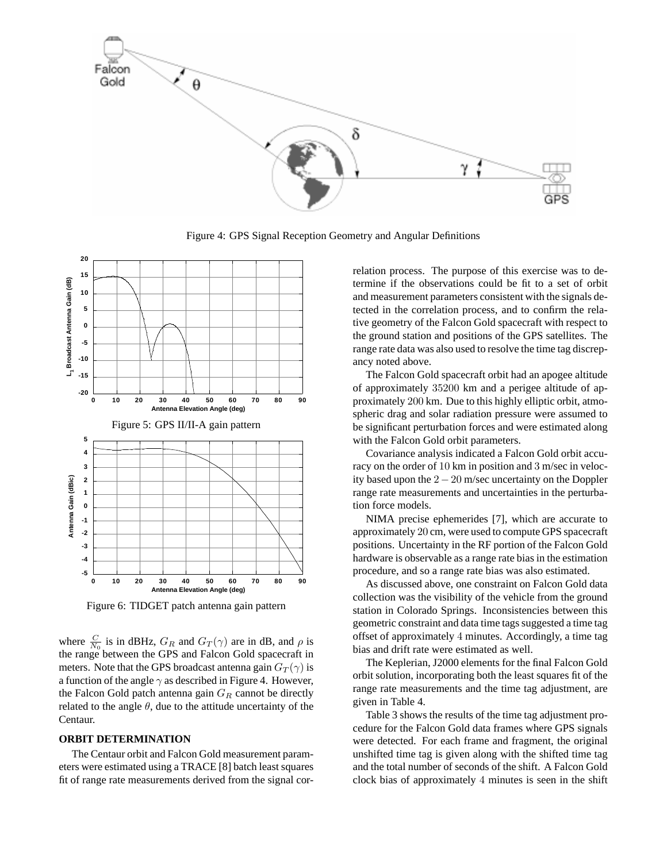

Figure 4: GPS Signal Reception Geometry and Angular Definitions



Figure 6: TIDGET patch antenna gain pattern

where  $\frac{C}{N_0}$  is in dBHz,  $G_R$  and  $G_T(\gamma)$  are in dB, and  $\rho$  is the range between the GPS and Falcon Gold spacecraft in meters. Note that the GPS broadcast antenna gain  $G_T(\gamma)$  is a function of the angle  $\gamma$  as described in Figure 4. However, the Falcon Gold patch antenna gain *G<sup>R</sup>* cannot be directly related to the angle  $\theta$ , due to the attitude uncertainty of the Centaur.

#### **ORBIT DETERMINATION**

The Centaur orbit and Falcon Gold measurement parameters were estimated using a TRACE [8] batch least squares fit of range rate measurements derived from the signal correlation process. The purpose of this exercise was to determine if the observations could be fit to a set of orbit and measurement parameters consistent with the signals detected in the correlation process, and to confirm the relative geometry of the Falcon Gold spacecraft with respect to the ground station and positions of the GPS satellites. The range rate data was also used to resolve the time tag discrepancy noted above.

The Falcon Gold spacecraft orbit had an apogee altitude of approximately 35200 km and a perigee altitude of approximately 200 km. Due to this highly elliptic orbit, atmospheric drag and solar radiation pressure were assumed to be significant perturbation forces and were estimated along with the Falcon Gold orbit parameters.

Covariance analysis indicated a Falcon Gold orbit accuracy on the order of 10 km in position and 3 m/sec in velocity based upon the 2−20 m/sec uncertainty on the Doppler range rate measurements and uncertainties in the perturbation force models.

NIMA precise ephemerides [7], which are accurate to approximately 20 cm, were used to compute GPS spacecraft positions. Uncertainty in the RF portion of the Falcon Gold hardware is observable as a range rate bias in the estimation procedure, and so a range rate bias was also estimated.

As discussed above, one constraint on Falcon Gold data collection was the visibility of the vehicle from the ground station in Colorado Springs. Inconsistencies between this geometric constraint and data time tags suggested a time tag offset of approximately 4 minutes. Accordingly, a time tag bias and drift rate were estimated as well.

The Keplerian, J2000 elements for the final Falcon Gold orbit solution, incorporating both the least squares fit of the range rate measurements and the time tag adjustment, are given in Table 4.

Table 3 shows the results of the time tag adjustment procedure for the Falcon Gold data frames where GPS signals were detected. For each frame and fragment, the original unshifted time tag is given along with the shifted time tag and the total number of seconds of the shift. A Falcon Gold clock bias of approximately 4 minutes is seen in the shift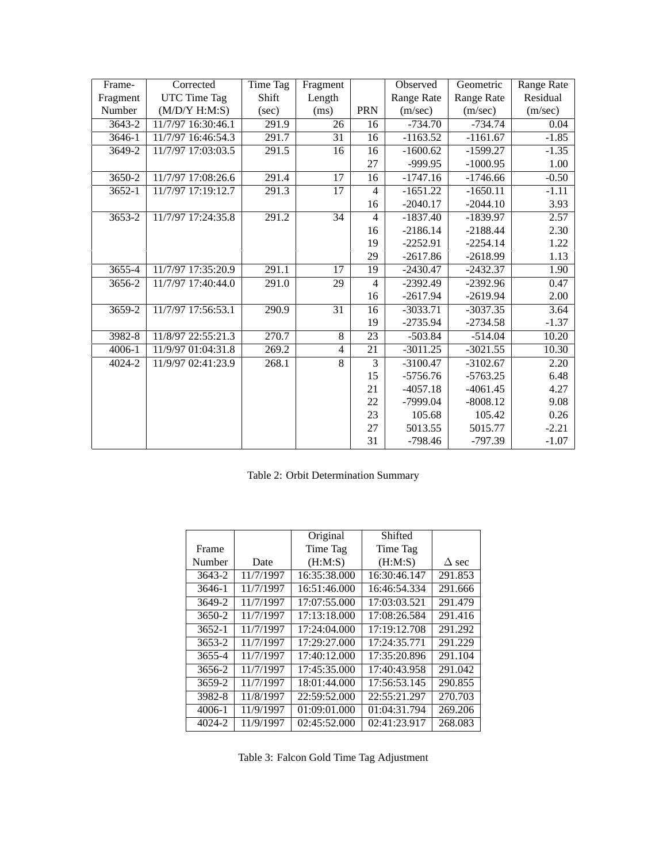| Frame-     | Corrected          | <b>Time Tag</b> | Fragment        |                | Observed   | Geometric  | Range Rate |
|------------|--------------------|-----------------|-----------------|----------------|------------|------------|------------|
| Fragment   | UTC Time Tag       | Shift           | Length          |                | Range Rate | Range Rate | Residual   |
| Number     | (M/D/Y H:M:S)      | (sec)           | (ms)            | <b>PRN</b>     | (m/sec)    | (m/sec)    | (m/sec)    |
| $3643 - 2$ | 11/7/97 16:30:46.1 | 291.9           | 26              | 16             | $-734.70$  | $-734.74$  | 0.04       |
| 3646-1     | 11/7/97 16:46:54.3 | 291.7           | 31              | 16             | $-1163.52$ | $-1161.67$ | $-1.85$    |
| 3649-2     | 11/7/97 17:03:03.5 | 291.5           | 16              | 16             | $-1600.62$ | $-1599.27$ | $-1.35$    |
|            |                    |                 |                 | 27             | -999.95    | $-1000.95$ | 1.00       |
| 3650-2     | 11/7/97 17:08:26.6 | 291.4           | 17              | 16             | $-1747.16$ | $-1746.66$ | $-0.50$    |
| $3652 - 1$ | 11/7/97 17:19:12.7 | 291.3           | 17              | $\overline{4}$ | $-1651.22$ | $-1650.11$ | $-1.11$    |
|            |                    |                 |                 | 16             | $-2040.17$ | $-2044.10$ | 3.93       |
| 3653-2     | 11/7/97 17:24:35.8 | 291.2           | 34              | $\overline{4}$ | $-1837.40$ | $-1839.97$ | 2.57       |
|            |                    |                 |                 | 16             | $-2186.14$ | $-2188.44$ | 2.30       |
|            |                    |                 |                 | 19             | $-2252.91$ | $-2254.14$ | 1.22       |
|            |                    |                 |                 | 29             | $-2617.86$ | $-2618.99$ | 1.13       |
| $3655-4$   | 11/7/97 17:35:20.9 | 291.1           | 17              | 19             | $-2430.47$ | $-2432.37$ | 1.90       |
| 3656-2     | 11/7/97 17:40:44.0 | 291.0           | 29              | $\overline{4}$ | $-2392.49$ | $-2392.96$ | 0.47       |
|            |                    |                 |                 | 16             | $-2617.94$ | $-2619.94$ | 2.00       |
| $3659 - 2$ | 11/7/97 17:56:53.1 | 290.9           | $\overline{31}$ | 16             | $-3033.71$ | $-3037.35$ | 3.64       |
|            |                    |                 |                 | 19             | $-2735.94$ | $-2734.58$ | $-1.37$    |
| 3982-8     | 11/8/97 22:55:21.3 | 270.7           | $\overline{8}$  | 23             | $-503.84$  | $-514.04$  | 10.20      |
| $4006 - 1$ | 11/9/97 01:04:31.8 | 269.2           | $\overline{4}$  | 21             | $-3011.25$ | $-3021.55$ | 10.30      |
| 4024-2     | 11/9/97 02:41:23.9 | 268.1           | 8               | 3              | $-3100.47$ | $-3102.67$ | 2.20       |
|            |                    |                 |                 | 15             | $-5756.76$ | $-5763.25$ | 6.48       |
|            |                    |                 |                 | 21             | $-4057.18$ | $-4061.45$ | 4.27       |
|            |                    |                 |                 | 22             | $-7999.04$ | $-8008.12$ | 9.08       |
|            |                    |                 |                 | 23             | 105.68     | 105.42     | 0.26       |
|            |                    |                 |                 | 27             | 5013.55    | 5015.77    | $-2.21$    |
|            |                    |                 |                 | 31             | $-798.46$  | $-797.39$  | $-1.07$    |

Table 2: Orbit Determination Summary

|            |           | Original     | Shifted      |              |
|------------|-----------|--------------|--------------|--------------|
| Frame      |           | Time Tag     | Time Tag     |              |
| Number     | Date      | (H:M:S)      | (H:M:S)      | $\Delta$ sec |
| 3643-2     | 11/7/1997 | 16:35:38.000 | 16:30:46.147 | 291.853      |
| 3646-1     | 11/7/1997 | 16:51:46.000 | 16:46:54.334 | 291.666      |
| 3649-2     | 11/7/1997 | 17:07:55.000 | 17:03:03.521 | 291.479      |
| 3650-2     | 11/7/1997 | 17:13:18.000 | 17:08:26.584 | 291.416      |
| $3652 - 1$ | 11/7/1997 | 17:24:04.000 | 17:19:12.708 | 291.292      |
| $3653 - 2$ | 11/7/1997 | 17:29:27.000 | 17:24:35.771 | 291.229      |
| 3655-4     | 11/7/1997 | 17:40:12.000 | 17:35:20.896 | 291.104      |
| 3656-2     | 11/7/1997 | 17:45:35.000 | 17:40:43.958 | 291.042      |
| 3659-2     | 11/7/1997 | 18:01:44.000 | 17:56:53.145 | 290.855      |
| 3982-8     | 11/8/1997 | 22:59:52.000 | 22:55:21.297 | 270.703      |
| 4006-1     | 11/9/1997 | 01:09:01.000 | 01:04:31.794 | 269.206      |
| 4024-2     | 11/9/1997 | 02:45:52.000 | 02:41:23.917 | 268.083      |

Table 3: Falcon Gold Time Tag Adjustment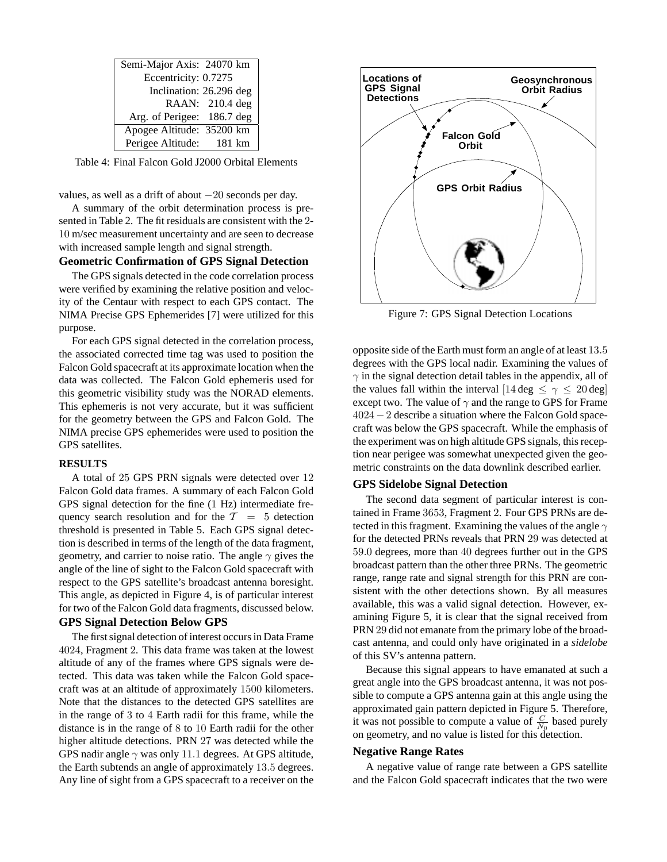| Semi-Major Axis: 24070 km  |                         |
|----------------------------|-------------------------|
| Eccentricity: 0.7275       |                         |
|                            | Inclination: 26.296 deg |
|                            | RAAN: 210.4 deg         |
| Arg. of Perigee: 186.7 deg |                         |
| Apogee Altitude: 35200 km  |                         |
| Perigee Altitude: 181 km   |                         |

Table 4: Final Falcon Gold J2000 Orbital Elements

values, as well as a drift of about  $-20$  seconds per day.

A summary of the orbit determination process is presented in Table 2. The fit residuals are consistent with the 2- 10 m/sec measurement uncertainty and are seen to decrease with increased sample length and signal strength.

#### **Geometric Confirmation of GPS Signal Detection**

The GPS signals detected in the code correlation process were verified by examining the relative position and velocity of the Centaur with respect to each GPS contact. The NIMA Precise GPS Ephemerides [7] were utilized for this purpose.

For each GPS signal detected in the correlation process, the associated corrected time tag was used to position the Falcon Gold spacecraft at its approximate location when the data was collected. The Falcon Gold ephemeris used for this geometric visibility study was the NORAD elements. This ephemeris is not very accurate, but it was sufficient for the geometry between the GPS and Falcon Gold. The NIMA precise GPS ephemerides were used to position the GPS satellites.

#### **RESULTS**

A total of 25 GPS PRN signals were detected over 12 Falcon Gold data frames. A summary of each Falcon Gold GPS signal detection for the fine (1 Hz) intermediate frequency search resolution and for the  $T = 5$  detection threshold is presented in Table 5. Each GPS signal detection is described in terms of the length of the data fragment, geometry, and carrier to noise ratio. The angle *γ* gives the angle of the line of sight to the Falcon Gold spacecraft with respect to the GPS satellite's broadcast antenna boresight. This angle, as depicted in Figure 4, is of particular interest for two of the Falcon Gold data fragments, discussed below.

# **GPS Signal Detection Below GPS**

The first signal detection of interest occurs in Data Frame 4024, Fragment 2. This data frame was taken at the lowest altitude of any of the frames where GPS signals were detected. This data was taken while the Falcon Gold spacecraft was at an altitude of approximately 1500 kilometers. Note that the distances to the detected GPS satellites are in the range of 3 to 4 Earth radii for this frame, while the distance is in the range of 8 to 10 Earth radii for the other higher altitude detections. PRN 27 was detected while the GPS nadir angle *γ* was only 11*.*1 degrees. At GPS altitude, the Earth subtends an angle of approximately 13*.*5 degrees. Any line of sight from a GPS spacecraft to a receiver on the



Figure 7: GPS Signal Detection Locations

opposite side of the Earth must form an angle of at least 13*.*5 degrees with the GPS local nadir. Examining the values of  $\gamma$  in the signal detection detail tables in the appendix, all of the values fall within the interval  $[14 \deg \leq \gamma \leq 20 \deg]$ except two. The value of  $\gamma$  and the range to GPS for Frame 4024−2 describe a situation where the Falcon Gold spacecraft was below the GPS spacecraft. While the emphasis of the experiment was on high altitude GPS signals, this reception near perigee was somewhat unexpected given the geometric constraints on the data downlink described earlier.

#### **GPS Sidelobe Signal Detection**

The second data segment of particular interest is contained in Frame 3653, Fragment 2. Four GPS PRNs are detected in this fragment. Examining the values of the angle *γ* for the detected PRNs reveals that PRN 29 was detected at 59*.*0 degrees, more than 40 degrees further out in the GPS broadcast pattern than the other three PRNs. The geometric range, range rate and signal strength for this PRN are consistent with the other detections shown. By all measures available, this was a valid signal detection. However, examining Figure 5, it is clear that the signal received from PRN 29 did not emanate from the primary lobe of the broadcast antenna, and could only have originated in a *sidelobe* of this SV's antenna pattern.

Because this signal appears to have emanated at such a great angle into the GPS broadcast antenna, it was not possible to compute a GPS antenna gain at this angle using the approximated gain pattern depicted in Figure 5. Therefore, it was not possible to compute a value of  $\frac{C}{N_0}$  based purely on geometry, and no value is listed for this detection.

#### **Negative Range Rates**

A negative value of range rate between a GPS satellite and the Falcon Gold spacecraft indicates that the two were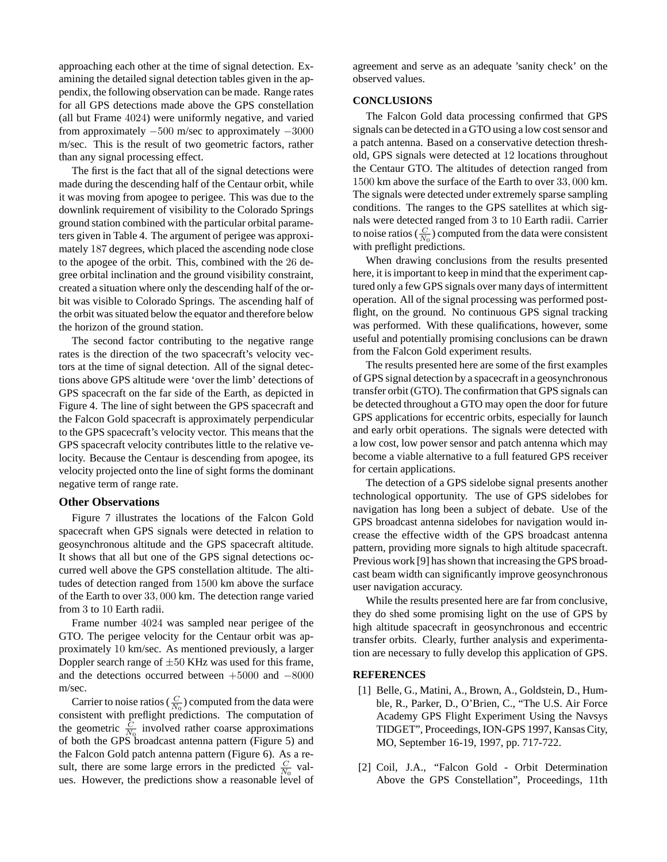approaching each other at the time of signal detection. Examining the detailed signal detection tables given in the appendix, the following observation can be made. Range rates for all GPS detections made above the GPS constellation (all but Frame 4024) were uniformly negative, and varied from approximately  $-500$  m/sec to approximately  $-3000$ m/sec. This is the result of two geometric factors, rather than any signal processing effect.

The first is the fact that all of the signal detections were made during the descending half of the Centaur orbit, while it was moving from apogee to perigee. This was due to the downlink requirement of visibility to the Colorado Springs ground station combined with the particular orbital parameters given in Table 4. The argument of perigee was approximately 187 degrees, which placed the ascending node close to the apogee of the orbit. This, combined with the 26 degree orbital inclination and the ground visibility constraint, created a situation where only the descending half of the orbit was visible to Colorado Springs. The ascending half of the orbit was situated below the equator and therefore below the horizon of the ground station.

The second factor contributing to the negative range rates is the direction of the two spacecraft's velocity vectors at the time of signal detection. All of the signal detections above GPS altitude were 'over the limb' detections of GPS spacecraft on the far side of the Earth, as depicted in Figure 4. The line of sight between the GPS spacecraft and the Falcon Gold spacecraft is approximately perpendicular to the GPS spacecraft's velocity vector. This means that the GPS spacecraft velocity contributes little to the relative velocity. Because the Centaur is descending from apogee, its velocity projected onto the line of sight forms the dominant negative term of range rate.

# **Other Observations**

Figure 7 illustrates the locations of the Falcon Gold spacecraft when GPS signals were detected in relation to geosynchronous altitude and the GPS spacecraft altitude. It shows that all but one of the GPS signal detections occurred well above the GPS constellation altitude. The altitudes of detection ranged from 1500 km above the surface of the Earth to over 33*,* 000 km. The detection range varied from 3 to 10 Earth radii.

Frame number 4024 was sampled near perigee of the GTO. The perigee velocity for the Centaur orbit was approximately 10 km/sec. As mentioned previously, a larger Doppler search range of  $\pm 50$  KHz was used for this frame, and the detections occurred between +5000 and −8000 m/sec.

Carrier to noise ratios ( $\frac{C}{N_0}$ ) computed from the data were consistent with preflight predictions. The computation of the geometric  $\frac{C}{N_0}$  involved rather coarse approximations of both the GPS broadcast antenna pattern (Figure 5) and the Falcon Gold patch antenna pattern (Figure 6). As a result, there are some large errors in the predicted  $\frac{C}{N_0}$  values. However, the predictions show a reasonable level of agreement and serve as an adequate 'sanity check' on the observed values.

#### **CONCLUSIONS**

The Falcon Gold data processing confirmed that GPS signals can be detected in a GTO using a low cost sensor and a patch antenna. Based on a conservative detection threshold, GPS signals were detected at 12 locations throughout the Centaur GTO. The altitudes of detection ranged from 1500 km above the surface of the Earth to over 33*,* 000 km. The signals were detected under extremely sparse sampling conditions. The ranges to the GPS satellites at which signals were detected ranged from 3 to 10 Earth radii. Carrier to noise ratios  $(\frac{C}{N_0})$  computed from the data were consistent with preflight predictions.

When drawing conclusions from the results presented here, it is important to keep in mind that the experiment captured only a few GPS signals over many days of intermittent operation. All of the signal processing was performed postflight, on the ground. No continuous GPS signal tracking was performed. With these qualifications, however, some useful and potentially promising conclusions can be drawn from the Falcon Gold experiment results.

The results presented here are some of the first examples of GPS signal detection by a spacecraft in a geosynchronous transfer orbit (GTO). The confirmation that GPS signals can be detected throughout a GTO may open the door for future GPS applications for eccentric orbits, especially for launch and early orbit operations. The signals were detected with a low cost, low power sensor and patch antenna which may become a viable alternative to a full featured GPS receiver for certain applications.

The detection of a GPS sidelobe signal presents another technological opportunity. The use of GPS sidelobes for navigation has long been a subject of debate. Use of the GPS broadcast antenna sidelobes for navigation would increase the effective width of the GPS broadcast antenna pattern, providing more signals to high altitude spacecraft. Previous work [9] has shown that increasing the GPS broadcast beam width can significantly improve geosynchronous user navigation accuracy.

While the results presented here are far from conclusive, they do shed some promising light on the use of GPS by high altitude spacecraft in geosynchronous and eccentric transfer orbits. Clearly, further analysis and experimentation are necessary to fully develop this application of GPS.

#### **REFERENCES**

- [1] Belle, G., Matini, A., Brown, A., Goldstein, D., Humble, R., Parker, D., O'Brien, C., "The U.S. Air Force Academy GPS Flight Experiment Using the Navsys TIDGET", Proceedings, ION-GPS 1997, Kansas City, MO, September 16-19, 1997, pp. 717-722.
- [2] Coil, J.A., "Falcon Gold Orbit Determination Above the GPS Constellation", Proceedings, 11th